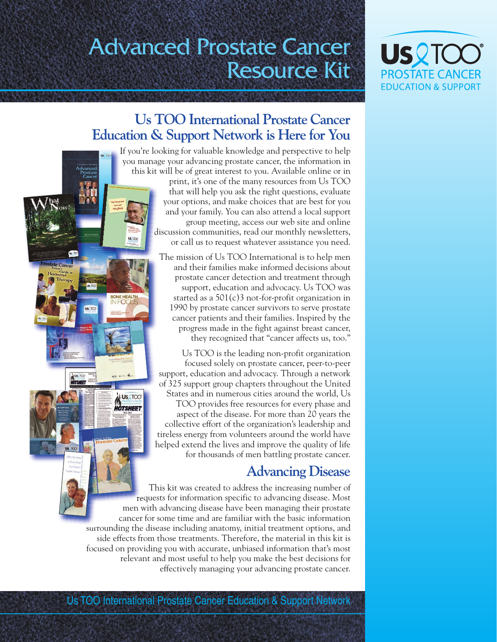# Advanced Prostate Cancer Resource Kit



# **Us TOO International Prostate Cancer Education & Support Network is Here for You**

ONE HEALTH

**US 2TOO** HOTSHEET

If you're looking for valuable knowledge and perspective to help you manage your advancing prostate cancer, the information in this kit will be of great interest to you. Available online or in print, it's one of the many resources from Us TOO that will help you ask the right questions, evaluate your options, and make choices that are best for you and your family. You can also attend a local support group meeting, access our web site and online discussion communities, read our monthly newsletters, or call us to request whatever assistance you need.

> The mission of Us TOO International is to help men and their families make informed decisions about prostate cancer detection and treatment through support, education and advocacy. Us TOO was started as a 501(c)3 not-for-profit organization in 1990 by prostate cancer survivors to serve prostate cancer patients and their families. Inspired by the progress made in the fight against breast cancer, they recognized that "cancer affects us, too."

Us TOO is the leading non-profit organization focused solely on prostate cancer, peer-to-peer support, education and advocacy. Through a network of 325 support group chapters throughout the United States and in numerous cities around the world, Us TOO provides free resources for every phase and aspect of the disease. For more than 20 years the collective effort of the organization's leadership and tireless energy from volunteers around the world have helped extend the lives and improve the quality of life for thousands of men battling prostate cancer.

# **Advancing Disease**

This kit was created to address the increasing number of requests for information specific to advancing disease. Most men with advancing disease have been managing their prostate cancer for some time and are familiar with the basic information surrounding the disease including anatomy, initial treatment options, and side effects from those treatments. Therefore, the material in this kit is focused on providing you with accurate, unbiased information that's most relevant and most useful to help you make the best decisions for effectively managing your advancing prostate cancer.

Us TOO International Prostate Cancer Education & Support Network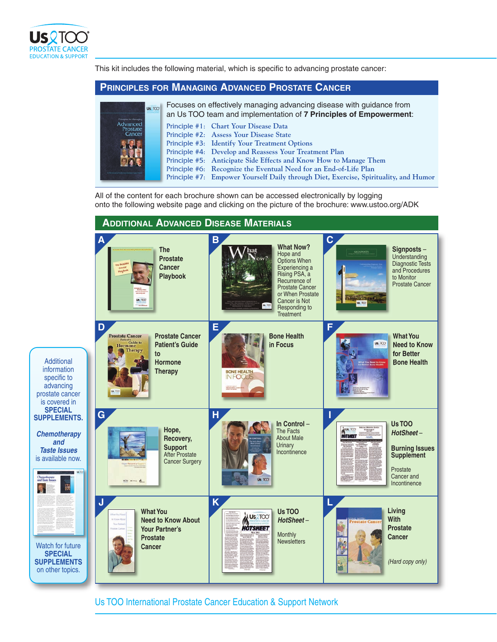

This kit includes the following material, which is specific to advancing prostate cancer:

## **PRINCIPLES FOR MANAGING ADVANCED PROSTATE CANCER**

| US TOO<br>Principles for Managing | Focuses on effectively managing advancing disease with guidance from<br>an Us TOO team and implementation of 7 Principles of Empowerment: |
|-----------------------------------|-------------------------------------------------------------------------------------------------------------------------------------------|
| Advanced<br>Prostate              | Principle #1: Chart Your Disease Data                                                                                                     |
| Cancer                            | Principle #2: Assess Your Disease State                                                                                                   |
|                                   | Principle #3: Identify Your Treatment Options                                                                                             |
|                                   | Principle #4: Develop and Reassess Your Treatment Plan                                                                                    |
|                                   | Principle #5: Anticipate Side Effects and Know How to Manage Them                                                                         |
|                                   | Principle #6: Recognize the Eventual Need for an End-of-Life Plan                                                                         |
|                                   | Principle #7: Empower Yourself Daily through Diet, Exercise, Spirituality, and Humor                                                      |

All of the content for each brochure shown can be accessed electronically by logging onto the following website page and clicking on the picture of the brochure: www.ustoo.org/ADK



Us TOO International Prostate Cancer Education & Support Network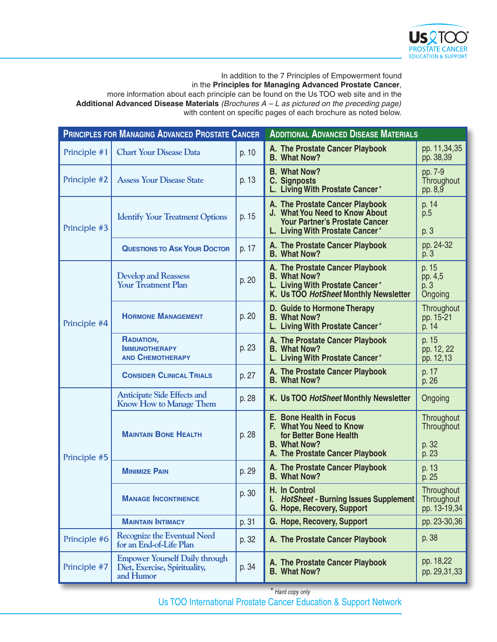

## In addition to the 7 Principles of Empowerment found in the **Principles for Managing Advanced Prostate Cancer**,

more information about each principle can be found on the Us TOO web site and in the **Additional Advanced Disease Materials** *(Brochures A – L as pictured on the preceding page)* with content on specific pages of each brochure as noted below.

| <b>PRINCIPLES FOR MANAGING ADVANCED PROSTATE CANCER</b> |                                                                                     |       | <b>ADDITIONAL ADVANCED DISEASE MATERIALS</b>                                                                                                   |                                            |  |
|---------------------------------------------------------|-------------------------------------------------------------------------------------|-------|------------------------------------------------------------------------------------------------------------------------------------------------|--------------------------------------------|--|
| Principle #1                                            | <b>Chart Your Disease Data</b>                                                      | p. 10 | A. The Prostate Cancer Playbook<br><b>B. What Now?</b>                                                                                         | pp. 11,34,35<br>pp. 38,39                  |  |
| Principle #2                                            | <b>Assess Your Disease State</b>                                                    | p. 13 | <b>B. What Now?</b><br><b>C. Signposts</b><br>L. Living With Prostate Cancer*                                                                  | pp. 7-9<br>Throughout<br>pp. 8,9           |  |
| Principle #3                                            | <b>Identify Your Treatment Options</b>                                              | p. 15 | A. The Prostate Cancer Playbook<br>J. What You Need to Know About<br><b>Your Partner's Prostate Cancer</b><br>L. Living With Prostate Cancer*  | p. 14<br>p.5<br>p. 3                       |  |
|                                                         | <b>QUESTIONS TO ASK YOUR DOCTOR</b>                                                 | p. 17 | A. The Prostate Cancer Playbook<br><b>B. What Now?</b>                                                                                         | pp. 24-32<br>p. 3                          |  |
| Principle #4                                            | <b>Develop and Reassess</b><br><b>Your Treatment Plan</b>                           | p. 20 | A. The Prostate Cancer Playbook<br><b>B. What Now?</b><br>L. Living With Prostate Cancer*<br>K. Us TOO HotSheet Monthly Newsletter             | p. 15<br>pp. 4,5<br>p. 3<br>Ongoing        |  |
|                                                         | <b>HORMONE MANAGEMENT</b>                                                           | p. 20 | D. Guide to Hormone Therapy<br><b>B. What Now?</b><br>L. Living With Prostate Cancer*                                                          | Throughout<br>pp. 15-21<br>p. 14           |  |
|                                                         | RADIATION,<br><b>IMMUNOTHERAPY</b><br><b>AND CHEMOTHERAPY</b>                       | p. 23 | A. The Prostate Cancer Playbook<br><b>B. What Now?</b><br>L. Living With Prostate Cancer*                                                      | p. 15<br>pp. 12, 22<br>pp. 12,13           |  |
|                                                         | <b>CONSIDER CLINICAL TRIALS</b>                                                     | p. 27 | A. The Prostate Cancer Playbook<br><b>B. What Now?</b>                                                                                         | p. 17<br>p. 26                             |  |
| Principle #5                                            | <b>Anticipate Side Effects and</b><br><b>Know How to Manage Them</b>                | p. 28 | K. Us TOO HotSheet Monthly Newsletter                                                                                                          | Ongoing                                    |  |
|                                                         | <b>MAINTAIN BONE HEALTH</b>                                                         | p. 28 | <b>E. Bone Health in Focus</b><br>F. What You Need to Know<br>for Better Bone Health<br><b>B. What Now?</b><br>A. The Prostate Cancer Playbook | Throughout<br>Throughout<br>p. 32<br>p. 23 |  |
|                                                         | <b>MINIMIZE PAIN</b>                                                                | p. 29 | A. The Prostate Cancer Playbook<br><b>B. What Now?</b>                                                                                         | p. 13<br>p. 25                             |  |
|                                                         | <b>MANAGE INCONTINENCE</b>                                                          | p. 30 | H. In Control<br>I. HotSheet - Burning Issues Supplement<br>G. Hope, Recovery, Support                                                         | Throughout<br>Throughout<br>pp. 13-19,34   |  |
|                                                         | <b>MAINTAIN INTIMACY</b>                                                            | p. 31 | G. Hope, Recovery, Support                                                                                                                     | pp. 23-30,36                               |  |
| Principle #6                                            | <b>Recognize the Eventual Need</b><br>for an End-of-Life Plan                       | p. 32 | A. The Prostate Cancer Playbook                                                                                                                | p. 38                                      |  |
| Principle #7                                            | <b>Empower Yourself Daily through</b><br>Diet, Exercise, Spirituality,<br>and Humor | p. 34 | A. The Prostate Cancer Playbook<br><b>B. What Now?</b>                                                                                         | pp. 18,22<br>pp. 29,31,33                  |  |

*\* Hard copy only*

Us TOO International Prostate Cancer Education & Support Network